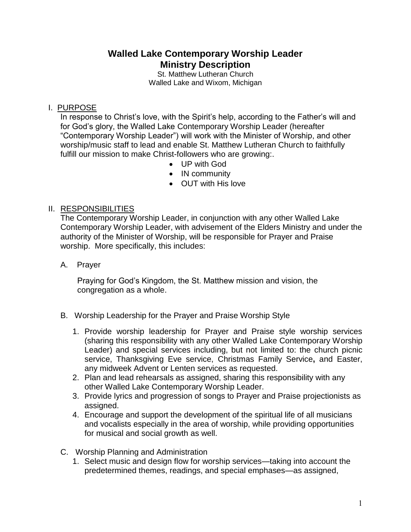# **Walled Lake Contemporary Worship Leader Ministry Description**

St. Matthew Lutheran Church Walled Lake and Wixom, Michigan

## I. PURPOSE

In response to Christ's love, with the Spirit's help, according to the Father's will and for God's glory, the Walled Lake Contemporary Worship Leader (hereafter "Contemporary Worship Leader") will work with the Minister of Worship, and other worship/music staff to lead and enable St. Matthew Lutheran Church to faithfully fulfill our mission to make Christ-followers who are growing:.

- UP with God
- IN community
- OUT with His love

### II. RESPONSIBILITIES

The Contemporary Worship Leader, in conjunction with any other Walled Lake Contemporary Worship Leader, with advisement of the Elders Ministry and under the authority of the Minister of Worship, will be responsible for Prayer and Praise worship. More specifically, this includes:

A. Prayer

Praying for God's Kingdom, the St. Matthew mission and vision, the congregation as a whole.

- B. Worship Leadership for the Prayer and Praise Worship Style
	- 1. Provide worship leadership for Prayer and Praise style worship services (sharing this responsibility with any other Walled Lake Contemporary Worship Leader) and special services including, but not limited to: the church picnic service, Thanksgiving Eve service, Christmas Family Service**,** and Easter, any midweek Advent or Lenten services as requested.
	- 2. Plan and lead rehearsals as assigned, sharing this responsibility with any other Walled Lake Contemporary Worship Leader.
	- 3. Provide lyrics and progression of songs to Prayer and Praise projectionists as assigned.
	- 4. Encourage and support the development of the spiritual life of all musicians and vocalists especially in the area of worship, while providing opportunities for musical and social growth as well.
- C. Worship Planning and Administration
	- 1. Select music and design flow for worship services—taking into account the predetermined themes, readings, and special emphases—as assigned,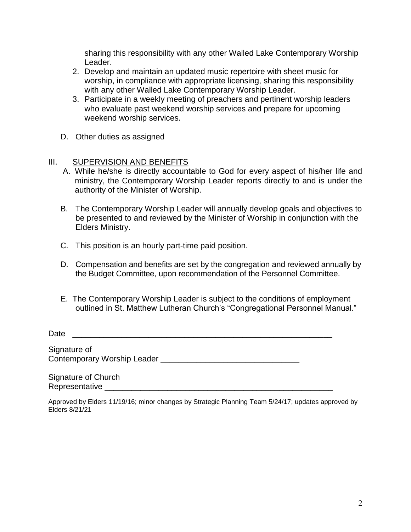sharing this responsibility with any other Walled Lake Contemporary Worship Leader.

- 2. Develop and maintain an updated music repertoire with sheet music for worship, in compliance with appropriate licensing, sharing this responsibility with any other Walled Lake Contemporary Worship Leader.
- 3. Participate in a weekly meeting of preachers and pertinent worship leaders who evaluate past weekend worship services and prepare for upcoming weekend worship services.
- D. Other duties as assigned

#### III. SUPERVISION AND BENEFITS

- A. While he/she is directly accountable to God for every aspect of his/her life and ministry, the Contemporary Worship Leader reports directly to and is under the authority of the Minister of Worship.
- B. The Contemporary Worship Leader will annually develop goals and objectives to be presented to and reviewed by the Minister of Worship in conjunction with the Elders Ministry.
- C. This position is an hourly part-time paid position.
- D. Compensation and benefits are set by the congregation and reviewed annually by the Budget Committee, upon recommendation of the Personnel Committee.
- E. The Contemporary Worship Leader is subject to the conditions of employment outlined in St. Matthew Lutheran Church's "Congregational Personnel Manual."

Date \_\_\_\_\_\_\_\_\_\_\_\_\_\_\_\_\_\_\_\_\_\_\_\_\_\_\_\_\_\_\_\_\_\_\_\_\_\_\_\_\_\_\_\_\_\_\_\_\_\_\_\_\_\_\_\_\_\_

Signature of Contemporary Worship Leader \_\_\_\_\_\_\_\_\_\_\_\_\_\_\_\_\_\_\_\_\_\_\_\_\_\_\_\_\_\_\_

Signature of Church Representative \_\_\_\_\_\_\_\_\_\_\_\_\_\_\_\_\_\_\_\_\_\_\_\_\_\_\_\_\_\_\_\_\_\_\_\_\_\_\_\_\_\_\_\_\_\_\_\_\_\_\_

Approved by Elders 11/19/16; minor changes by Strategic Planning Team 5/24/17; updates approved by Elders 8/21/21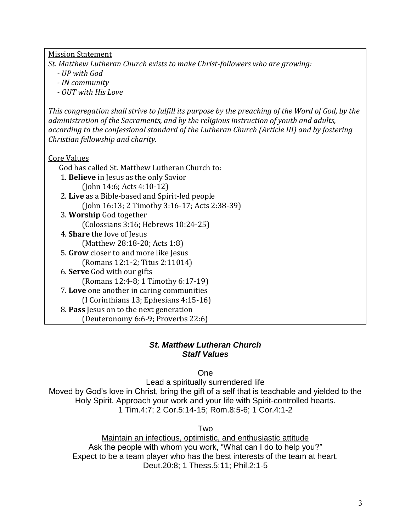Mission Statement

*St. Matthew Lutheran Church exists to make Christ-followers who are growing:*

- *- UP with God*
- *- IN community*
- *- OUT with His Love*

*This congregation shall strive to fulfill its purpose by the preaching of the Word of God, by the administration of the Sacraments, and by the religious instruction of youth and adults, according to the confessional standard of the Lutheran Church (Article III) and by fostering Christian fellowship and charity.*

Core Values

God has called St. Matthew Lutheran Church to:

- 1. **Believe** in Jesus as the only Savior (John 14:6; Acts 4:10-12)
- 2. **Live** as a Bible-based and Spirit-led people (John 16:13; 2 Timothy 3:16-17; Acts 2:38-39)
- 3. **Worship** God together (Colossians 3:16; Hebrews 10:24-25) 4. **Share** the love of Jesus (Matthew 28:18-20; Acts 1:8)
- 5. **Grow** closer to and more like Jesus (Romans 12:1-2; Titus 2:11014)
- 6. **Serve** God with our gifts (Romans 12:4-8; 1 Timothy 6:17-19) 7. **Love** one another in caring communities
	- (I Corinthians 13; Ephesians 4:15-16)
- 8. **Pass** Jesus on to the next generation (Deuteronomy 6:6-9; Proverbs 22:6)

# *St. Matthew Lutheran Church Staff Values*

One

Lead a spiritually surrendered life

Moved by God's love in Christ, bring the gift of a self that is teachable and yielded to the Holy Spirit. Approach your work and your life with Spirit-controlled hearts. 1 Tim.4:7; 2 Cor.5:14-15; Rom.8:5-6; 1 Cor.4:1-2

Two

Maintain an infectious, optimistic, and enthusiastic attitude Ask the people with whom you work, "What can I do to help you?" Expect to be a team player who has the best interests of the team at heart. Deut.20:8; 1 Thess.5:11; Phil.2:1-5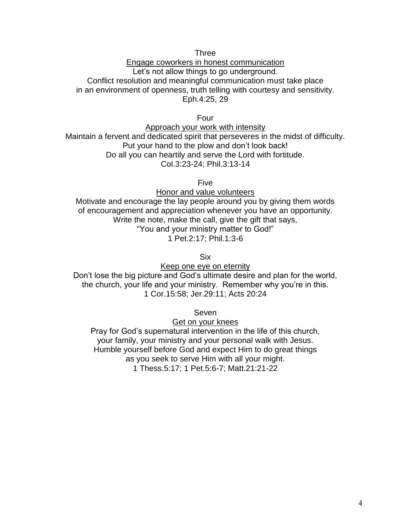Three

Engage coworkers in honest communication Let's not allow things to go underground. Conflict resolution and meaningful communication must take place in an environment of openness, truth telling with courtesy and sensitivity. Eph.4:25, 29

Four

Approach your work with intensity Maintain a fervent and dedicated spirit that perseveres in the midst of difficulty. Put your hand to the plow and don't look back! Do all you can heartily and serve the Lord with fortitude. Col.3:23-24; Phil.3:13-14

Five

Honor and value volunteers Motivate and encourage the lay people around you by giving them words of encouragement and appreciation whenever you have an opportunity. Write the note, make the call, give the gift that says, "You and your ministry matter to God!"

1 Pet.2:17; Phil.1:3-6

Six

Keep one eye on eternity

Don't lose the big picture and God's ultimate desire and plan for the world, the church, your life and your ministry. Remember why you're in this. 1 Cor.15:58; Jer.29:11; Acts 20:24

Seven

Get on your knees

Pray for God's supernatural intervention in the life of this church, your family, your ministry and your personal walk with Jesus. Humble yourself before God and expect Him to do great things as you seek to serve Him with all your might. 1 Thess.5:17; 1 Pet.5:6-7; Matt.21:21-22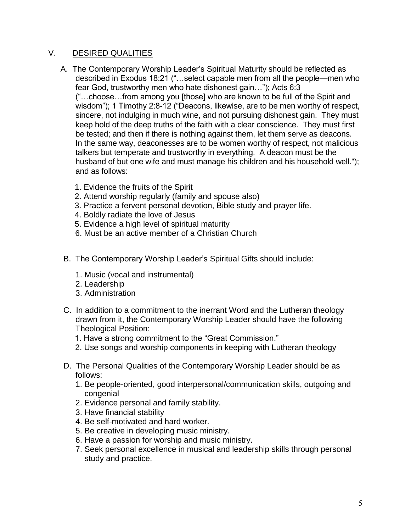### V. DESIRED QUALITIES

- A. The Contemporary Worship Leader's Spiritual Maturity should be reflected as described in Exodus 18:21 ("…select capable men from all the people—men who fear God, trustworthy men who hate dishonest gain…"); Acts 6:3 ("…choose…from among you [those] who are known to be full of the Spirit and wisdom"); 1 Timothy 2:8-12 ("Deacons, likewise, are to be men worthy of respect, sincere, not indulging in much wine, and not pursuing dishonest gain. They must keep hold of the deep truths of the faith with a clear conscience. They must first be tested; and then if there is nothing against them, let them serve as deacons. In the same way, deaconesses are to be women worthy of respect, not malicious talkers but temperate and trustworthy in everything. A deacon must be the husband of but one wife and must manage his children and his household well."); and as follows:
	- 1. Evidence the fruits of the Spirit
	- 2. Attend worship regularly (family and spouse also)
	- 3. Practice a fervent personal devotion, Bible study and prayer life.
	- 4. Boldly radiate the love of Jesus
	- 5. Evidence a high level of spiritual maturity
	- 6. Must be an active member of a Christian Church
- B. The Contemporary Worship Leader's Spiritual Gifts should include:
	- 1. Music (vocal and instrumental)
	- 2. Leadership
	- 3. Administration
- C. In addition to a commitment to the inerrant Word and the Lutheran theology drawn from it, the Contemporary Worship Leader should have the following Theological Position:
	- 1. Have a strong commitment to the "Great Commission."
	- 2. Use songs and worship components in keeping with Lutheran theology
- D. The Personal Qualities of the Contemporary Worship Leader should be as follows:
	- 1. Be people-oriented, good interpersonal/communication skills, outgoing and congenial
	- 2. Evidence personal and family stability.
	- 3. Have financial stability
	- 4. Be self-motivated and hard worker.
	- 5. Be creative in developing music ministry.
	- 6. Have a passion for worship and music ministry.
	- 7. Seek personal excellence in musical and leadership skills through personal study and practice.